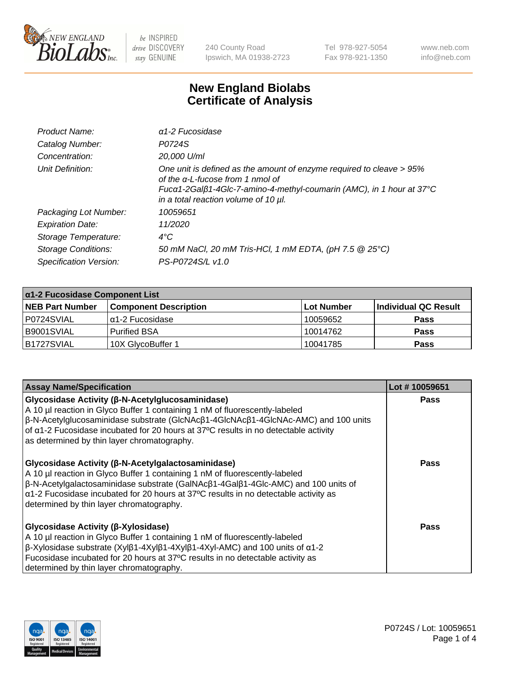

240 County Road Ipswich, MA 01938-2723 Tel 978-927-5054 Fax 978-921-1350 www.neb.com info@neb.com

## **New England Biolabs Certificate of Analysis**

| Product Name:              | $\alpha$ 1-2 Fucosidase                                                                                                                                                                                                               |
|----------------------------|---------------------------------------------------------------------------------------------------------------------------------------------------------------------------------------------------------------------------------------|
| Catalog Number:            | P0724S                                                                                                                                                                                                                                |
| Concentration:             | 20,000 U/ml                                                                                                                                                                                                                           |
| Unit Definition:           | One unit is defined as the amount of enzyme required to cleave > 95%<br>of the $\alpha$ -L-fucose from 1 nmol of<br>Fucα1-2Galβ1-4Glc-7-amino-4-methyl-coumarin (AMC), in 1 hour at 37°C<br>in a total reaction volume of 10 $\mu$ l. |
| Packaging Lot Number:      | 10059651                                                                                                                                                                                                                              |
| <b>Expiration Date:</b>    | 11/2020                                                                                                                                                                                                                               |
| Storage Temperature:       | $4^{\circ}$ C                                                                                                                                                                                                                         |
| <b>Storage Conditions:</b> | 50 mM NaCl, 20 mM Tris-HCl, 1 mM EDTA, (pH 7.5 @ 25°C)                                                                                                                                                                                |
| Specification Version:     | PS-P0724S/L v1.0                                                                                                                                                                                                                      |

| $\alpha$ 1-2 Fucosidase Component List |                              |            |                      |  |
|----------------------------------------|------------------------------|------------|----------------------|--|
| <b>NEB Part Number</b>                 | <b>Component Description</b> | Lot Number | Individual QC Result |  |
| P0724SVIAL                             | α1-2 Fucosidase              | 10059652   | <b>Pass</b>          |  |
| B9001SVIAL                             | <b>Purified BSA</b>          | 10014762   | <b>Pass</b>          |  |
| B1727SVIAL                             | 10X GlycoBuffer 1            | 10041785   | <b>Pass</b>          |  |

| <b>Assay Name/Specification</b>                                                                                                                                                                                                                                                                                                                                                           | Lot #10059651 |
|-------------------------------------------------------------------------------------------------------------------------------------------------------------------------------------------------------------------------------------------------------------------------------------------------------------------------------------------------------------------------------------------|---------------|
| <b>Glycosidase Activity (β-N-Acetylglucosaminidase)</b><br>A 10 µl reaction in Glyco Buffer 1 containing 1 nM of fluorescently-labeled<br>$\beta$ -N-Acetylglucosaminidase substrate (GlcNAc $\beta$ 1-4GlcNAc $\beta$ 1-4GlcNAc-AMC) and 100 units<br>of a1-2 Fucosidase incubated for 20 hours at 37°C results in no detectable activity<br>as determined by thin layer chromatography. | <b>Pass</b>   |
| Glycosidase Activity (β-N-Acetylgalactosaminidase)<br>A 10 µl reaction in Glyco Buffer 1 containing 1 nM of fluorescently-labeled<br>β-N-Acetylgalactosaminidase substrate (GalNAcβ1-4Galβ1-4Glc-AMC) and 100 units of<br>$\alpha$ 1-2 Fucosidase incubated for 20 hours at 37°C results in no detectable activity as<br>determined by thin layer chromatography.                         | <b>Pass</b>   |
| Glycosidase Activity (β-Xylosidase)<br>A 10 µl reaction in Glyco Buffer 1 containing 1 nM of fluorescently-labeled<br>$\beta$ -Xylosidase substrate (Xyl $\beta$ 1-4Xyl $\beta$ 1-4Xyl $\beta$ 1-4Xyl-AMC) and 100 units of $\alpha$ 1-2<br>Fucosidase incubated for 20 hours at 37°C results in no detectable activity as<br>determined by thin layer chromatography.                    | Pass          |

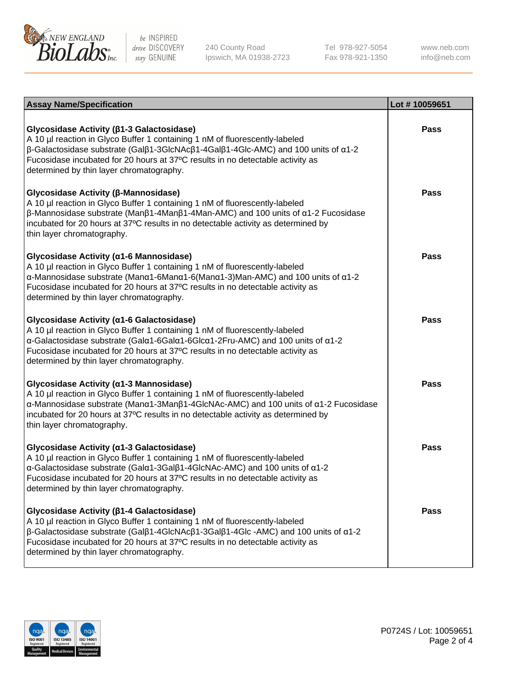

240 County Road Ipswich, MA 01938-2723 Tel 978-927-5054 Fax 978-921-1350

www.neb.com info@neb.com

| <b>Assay Name/Specification</b>                                                                                                                                                                                                                                                                                                                                                     | Lot #10059651 |
|-------------------------------------------------------------------------------------------------------------------------------------------------------------------------------------------------------------------------------------------------------------------------------------------------------------------------------------------------------------------------------------|---------------|
| Glycosidase Activity (β1-3 Galactosidase)<br>A 10 µl reaction in Glyco Buffer 1 containing 1 nM of fluorescently-labeled<br>$\beta$ -Galactosidase substrate (Gal $\beta$ 1-3GlcNAc $\beta$ 1-4Gal $\beta$ 1-4Glc-AMC) and 100 units of $\alpha$ 1-2<br>Fucosidase incubated for 20 hours at 37°C results in no detectable activity as<br>determined by thin layer chromatography.  | <b>Pass</b>   |
| Glycosidase Activity (β-Mannosidase)<br>A 10 µl reaction in Glyco Buffer 1 containing 1 nM of fluorescently-labeled<br>$\beta$ -Mannosidase substrate (Man $\beta$ 1-4Man $\beta$ 1-4Man-AMC) and 100 units of $\alpha$ 1-2 Fucosidase<br>incubated for 20 hours at 37°C results in no detectable activity as determined by<br>thin layer chromatography.                           | <b>Pass</b>   |
| Glycosidase Activity (α1-6 Mannosidase)<br>A 10 µl reaction in Glyco Buffer 1 containing 1 nM of fluorescently-labeled<br>α-Mannosidase substrate (Μanα1-6Μanα1-6(Μanα1-3)Man-AMC) and 100 units of α1-2<br>Fucosidase incubated for 20 hours at 37°C results in no detectable activity as<br>determined by thin layer chromatography.                                              | <b>Pass</b>   |
| Glycosidase Activity (a1-6 Galactosidase)<br>A 10 µl reaction in Glyco Buffer 1 containing 1 nM of fluorescently-labeled<br>α-Galactosidase substrate (Galα1-6Galα1-6Glcα1-2Fru-AMC) and 100 units of α1-2<br>Fucosidase incubated for 20 hours at 37°C results in no detectable activity as<br>determined by thin layer chromatography.                                            | <b>Pass</b>   |
| Glycosidase Activity (α1-3 Mannosidase)<br>A 10 µl reaction in Glyco Buffer 1 containing 1 nM of fluorescently-labeled<br>α-Mannosidase substrate (Manα1-3Manβ1-4GlcNAc-AMC) and 100 units of α1-2 Fucosidase<br>incubated for 20 hours at 37°C results in no detectable activity as determined by<br>thin layer chromatography.                                                    | <b>Pass</b>   |
| Glycosidase Activity (a1-3 Galactosidase)<br>A 10 µl reaction in Glyco Buffer 1 containing 1 nM of fluorescently-labeled<br>α-Galactosidase substrate (Galα1-3Galβ1-4GlcNAc-AMC) and 100 units of α1-2<br>Fucosidase incubated for 20 hours at 37°C results in no detectable activity as<br>determined by thin layer chromatography.                                                | <b>Pass</b>   |
| Glycosidase Activity (β1-4 Galactosidase)<br>A 10 µl reaction in Glyco Buffer 1 containing 1 nM of fluorescently-labeled<br>$\beta$ -Galactosidase substrate (Gal $\beta$ 1-4GlcNAc $\beta$ 1-3Gal $\beta$ 1-4Glc -AMC) and 100 units of $\alpha$ 1-2<br>Fucosidase incubated for 20 hours at 37°C results in no detectable activity as<br>determined by thin layer chromatography. | <b>Pass</b>   |

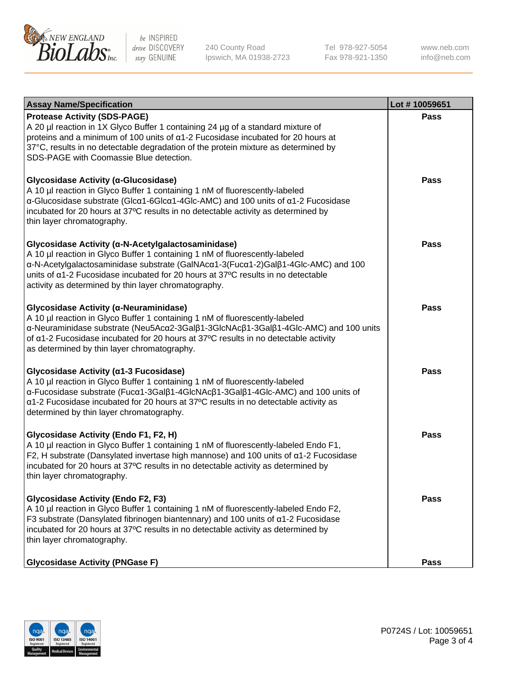

240 County Road Ipswich, MA 01938-2723 Tel 978-927-5054 Fax 978-921-1350 www.neb.com info@neb.com

| <b>Assay Name/Specification</b>                                                                                                                                                                                                                                                                                                                                    | Lot #10059651 |
|--------------------------------------------------------------------------------------------------------------------------------------------------------------------------------------------------------------------------------------------------------------------------------------------------------------------------------------------------------------------|---------------|
| <b>Protease Activity (SDS-PAGE)</b><br>A 20 µl reaction in 1X Glyco Buffer 1 containing 24 µg of a standard mixture of<br>proteins and a minimum of 100 units of $\alpha$ 1-2 Fucosidase incubated for 20 hours at<br>37°C, results in no detectable degradation of the protein mixture as determined by<br>SDS-PAGE with Coomassie Blue detection.                | <b>Pass</b>   |
| Glycosidase Activity (α-Glucosidase)<br>A 10 µl reaction in Glyco Buffer 1 containing 1 nM of fluorescently-labeled<br>α-Glucosidase substrate (Glcα1-6Glcα1-4Glc-AMC) and 100 units of α1-2 Fucosidase<br>incubated for 20 hours at 37°C results in no detectable activity as determined by<br>thin layer chromatography.                                         | <b>Pass</b>   |
| Glycosidase Activity (α-N-Acetylgalactosaminidase)<br>A 10 µl reaction in Glyco Buffer 1 containing 1 nM of fluorescently-labeled<br>α-N-Acetylgalactosaminidase substrate (GalNAcα1-3(Fucα1-2)Galβ1-4Glc-AMC) and 100<br>units of a1-2 Fucosidase incubated for 20 hours at 37°C results in no detectable<br>activity as determined by thin layer chromatography. | Pass          |
| Glycosidase Activity (α-Neuraminidase)<br>A 10 µl reaction in Glyco Buffer 1 containing 1 nM of fluorescently-labeled<br>α-Neuraminidase substrate (Neu5Acα2-3Galβ1-3GlcNAcβ1-3Galβ1-4Glc-AMC) and 100 units<br>of a1-2 Fucosidase incubated for 20 hours at 37°C results in no detectable activity<br>as determined by thin layer chromatography.                 | Pass          |
| Glycosidase Activity (α1-3 Fucosidase)<br>A 10 µl reaction in Glyco Buffer 1 containing 1 nM of fluorescently-labeled<br>α-Fucosidase substrate (Fucα1-3Galβ1-4GlcNAcβ1-3Galβ1-4Glc-AMC) and 100 units of<br>a1-2 Fucosidase incubated for 20 hours at 37°C results in no detectable activity as<br>determined by thin layer chromatography.                       | <b>Pass</b>   |
| Glycosidase Activity (Endo F1, F2, H)<br>A 10 µl reaction in Glyco Buffer 1 containing 1 nM of fluorescently-labeled Endo F1,<br>F2, H substrate (Dansylated invertase high mannose) and 100 units of $\alpha$ 1-2 Fucosidase<br>incubated for 20 hours at 37°C results in no detectable activity as determined by<br>thin layer chromatography.                   | <b>Pass</b>   |
| <b>Glycosidase Activity (Endo F2, F3)</b><br>A 10 µl reaction in Glyco Buffer 1 containing 1 nM of fluorescently-labeled Endo F2,<br>F3 substrate (Dansylated fibrinogen biantennary) and 100 units of $\alpha$ 1-2 Fucosidase<br>incubated for 20 hours at 37°C results in no detectable activity as determined by<br>thin layer chromatography.                  | Pass          |
| <b>Glycosidase Activity (PNGase F)</b>                                                                                                                                                                                                                                                                                                                             | Pass          |